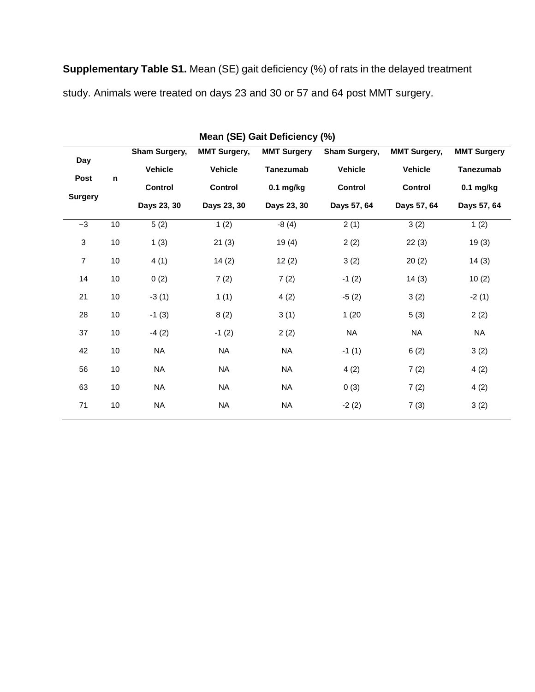**Supplementary Table S1.** Mean (SE) gait deficiency (%) of rats in the delayed treatment study. Animals were treated on days 23 and 30 or 57 and 64 post MMT surgery.

| Mean (SE) Gait Deficiency (%) |    |                |                     |                    |                |                                       |                                 |  |  |  |  |  |
|-------------------------------|----|----------------|---------------------|--------------------|----------------|---------------------------------------|---------------------------------|--|--|--|--|--|
| Day<br>Post<br>Surgery        | n  | Sham Surgery,  | <b>MMT Surgery,</b> | <b>MMT Surgery</b> | Sham Surgery,  | <b>MMT Surgery,</b><br><b>Vehicle</b> | <b>MMT Surgery</b><br>Tanezumab |  |  |  |  |  |
|                               |    | <b>Vehicle</b> | <b>Vehicle</b>      | Tanezumab          | <b>Vehicle</b> |                                       |                                 |  |  |  |  |  |
|                               |    | <b>Control</b> | Control             | $0.1$ mg/kg        | <b>Control</b> | Control                               | $0.1$ mg/kg                     |  |  |  |  |  |
|                               |    | Days 23, 30    | Days 23, 30         | Days 23, 30        | Days 57, 64    | Days 57, 64                           | Days 57, 64                     |  |  |  |  |  |
| $-3$                          | 10 | 5(2)           | 1(2)                | $-8(4)$            | 2(1)           | 3(2)                                  | 1(2)                            |  |  |  |  |  |
| $\mathbf{3}$                  | 10 | 1(3)           | 21(3)               | 19(4)              | 2(2)           | 22(3)                                 | 19(3)                           |  |  |  |  |  |
| $\overline{7}$                | 10 | 4(1)           | 14(2)               | 12(2)              | 3(2)           | 20(2)                                 | 14(3)                           |  |  |  |  |  |
| 14                            | 10 | 0(2)           | 7(2)                | 7(2)               | $-1(2)$        | 14(3)                                 | 10(2)                           |  |  |  |  |  |
| 21                            | 10 | $-3(1)$        | 1(1)                | 4(2)               | $-5(2)$        | 3(2)                                  | $-2(1)$                         |  |  |  |  |  |
| 28                            | 10 | $-1(3)$        | 8(2)                | 3(1)               | 1(20)          | 5(3)                                  | 2(2)                            |  |  |  |  |  |
| 37                            | 10 | $-4(2)$        | $-1(2)$             | 2(2)               | <b>NA</b>      | <b>NA</b>                             | <b>NA</b>                       |  |  |  |  |  |
| 42                            | 10 | <b>NA</b>      | <b>NA</b>           | <b>NA</b>          | $-1(1)$        | 6(2)                                  | 3(2)                            |  |  |  |  |  |
| 56                            | 10 | <b>NA</b>      | <b>NA</b>           | <b>NA</b>          | 4(2)           | 7(2)                                  | 4(2)                            |  |  |  |  |  |
| 63                            | 10 | <b>NA</b>      | <b>NA</b>           | <b>NA</b>          | 0(3)           | 7(2)                                  | 4(2)                            |  |  |  |  |  |
| 71                            | 10 | <b>NA</b>      | <b>NA</b>           | <b>NA</b>          | $-2(2)$        | 7(3)                                  | 3(2)                            |  |  |  |  |  |
|                               |    |                |                     |                    |                |                                       |                                 |  |  |  |  |  |